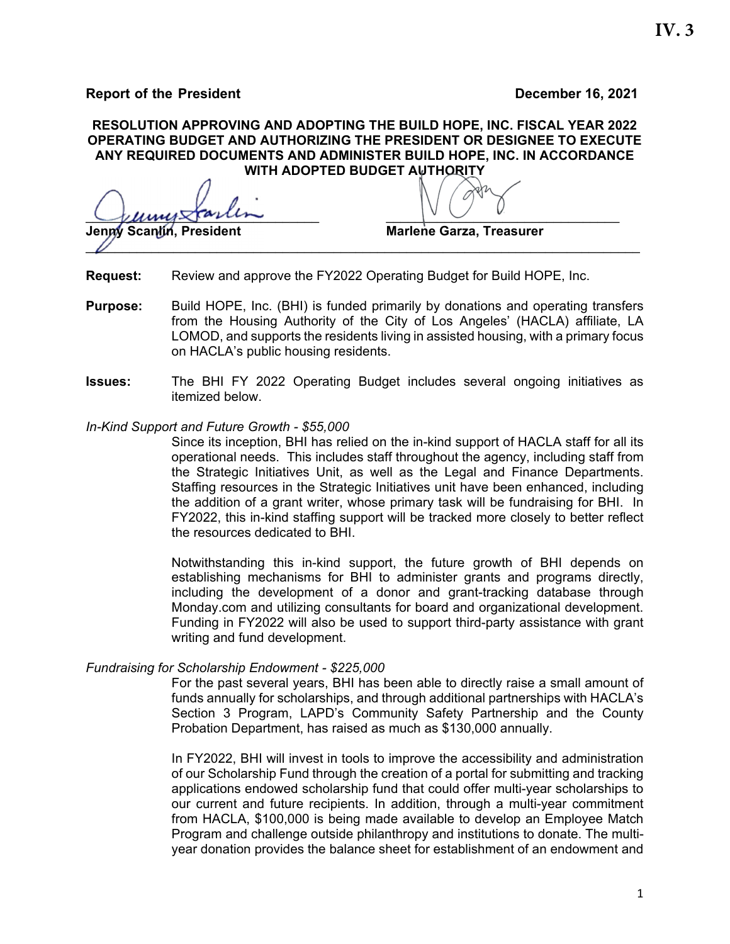**Report of the President Contract Contract Contract Contract Contract Contract Contract Contract Contract Contract Contract Contract Contract Contract Contract Contract Contract Contract Contract Contract Contract Contract** 

### **RESOLUTION APPROVING AND ADOPTING THE BUILD HOPE, INC. FISCAL YEAR 2022 OPERATING BUDGET AND AUTHORIZING THE PRESIDENT OR DESIGNEE TO EXECUTE ANY REQUIRED DOCUMENTS AND ADMINISTER BUILD HOPE, INC. IN ACCORDANCE WITH ADOPTED BUDGET AUTHORITY**

 $\bigcup$ **Jenny Scanlin, President Marlene Garza, Treasurer** 

- **Request:** Review and approve the FY2022 Operating Budget for Build HOPE, Inc.
- **Purpose:** Build HOPE, Inc. (BHI) is funded primarily by donations and operating transfers from the Housing Authority of the City of Los Angeles' (HACLA) affiliate, LA LOMOD, and supports the residents living in assisted housing, with a primary focus on HACLA's public housing residents.

 $\mathbb{Z}$  , the contract of the contract of the contract of the contract of the contract of the contract of the contract of the contract of the contract of the contract of the contract of the contract of the contract of th

- **Issues:** The BHI FY 2022 Operating Budget includes several ongoing initiatives as itemized below.
- *In-Kind Support and Future Growth \$55,000*

Since its inception, BHI has relied on the in-kind support of HACLA staff for all its operational needs. This includes staff throughout the agency, including staff from the Strategic Initiatives Unit, as well as the Legal and Finance Departments. Staffing resources in the Strategic Initiatives unit have been enhanced, including the addition of a grant writer, whose primary task will be fundraising for BHI. In FY2022, this in-kind staffing support will be tracked more closely to better reflect the resources dedicated to BHI.

Notwithstanding this in-kind support, the future growth of BHI depends on establishing mechanisms for BHI to administer grants and programs directly, including the development of a donor and grant-tracking database through Monday.com and utilizing consultants for board and organizational development. Funding in FY2022 will also be used to support third-party assistance with grant writing and fund development.

## *Fundraising for Scholarship Endowment - \$225,000*

For the past several years, BHI has been able to directly raise a small amount of funds annually for scholarships, and through additional partnerships with HACLA's Section 3 Program, LAPD's Community Safety Partnership and the County Probation Department, has raised as much as \$130,000 annually.

In FY2022, BHI will invest in tools to improve the accessibility and administration of our Scholarship Fund through the creation of a portal for submitting and tracking applications endowed scholarship fund that could offer multi-year scholarships to our current and future recipients. In addition, through a multi-year commitment from HACLA, \$100,000 is being made available to develop an Employee Match Program and challenge outside philanthropy and institutions to donate. The multiyear donation provides the balance sheet for establishment of an endowment and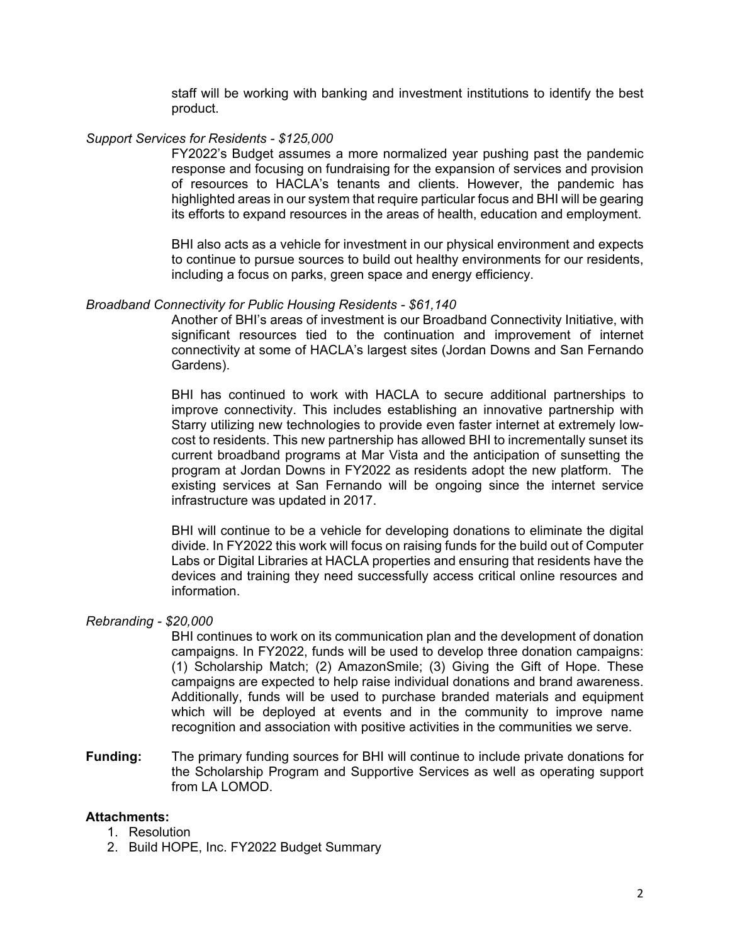staff will be working with banking and investment institutions to identify the best product.

### *Support Services for Residents - \$125,000*

FY2022's Budget assumes a more normalized year pushing past the pandemic response and focusing on fundraising for the expansion of services and provision of resources to HACLA's tenants and clients. However, the pandemic has highlighted areas in our system that require particular focus and BHI will be gearing its efforts to expand resources in the areas of health, education and employment.

BHI also acts as a vehicle for investment in our physical environment and expects to continue to pursue sources to build out healthy environments for our residents, including a focus on parks, green space and energy efficiency.

### *Broadband Connectivity for Public Housing Residents - \$61,140*

Another of BHI's areas of investment is our Broadband Connectivity Initiative, with significant resources tied to the continuation and improvement of internet connectivity at some of HACLA's largest sites (Jordan Downs and San Fernando Gardens).

BHI has continued to work with HACLA to secure additional partnerships to improve connectivity. This includes establishing an innovative partnership with Starry utilizing new technologies to provide even faster internet at extremely lowcost to residents. This new partnership has allowed BHI to incrementally sunset its current broadband programs at Mar Vista and the anticipation of sunsetting the program at Jordan Downs in FY2022 as residents adopt the new platform. The existing services at San Fernando will be ongoing since the internet service infrastructure was updated in 2017.

BHI will continue to be a vehicle for developing donations to eliminate the digital divide. In FY2022 this work will focus on raising funds for the build out of Computer Labs or Digital Libraries at HACLA properties and ensuring that residents have the devices and training they need successfully access critical online resources and information.

### *Rebranding - \$20,000*

BHI continues to work on its communication plan and the development of donation campaigns. In FY2022, funds will be used to develop three donation campaigns: (1) Scholarship Match; (2) AmazonSmile; (3) Giving the Gift of Hope. These campaigns are expected to help raise individual donations and brand awareness. Additionally, funds will be used to purchase branded materials and equipment which will be deployed at events and in the community to improve name recognition and association with positive activities in the communities we serve.

**Funding:** The primary funding sources for BHI will continue to include private donations for the Scholarship Program and Supportive Services as well as operating support from LA LOMOD.

### **Attachments:**

- 1. Resolution
- 2. Build HOPE, Inc. FY2022 Budget Summary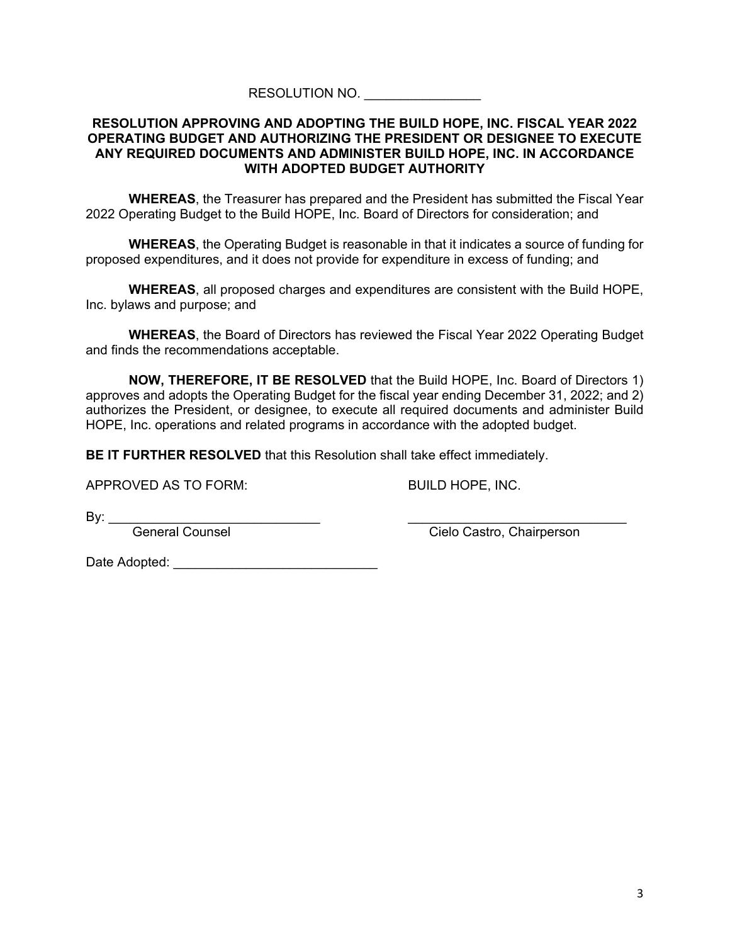# RESOLUTION NO.

### **RESOLUTION APPROVING AND ADOPTING THE BUILD HOPE, INC. FISCAL YEAR 2022 OPERATING BUDGET AND AUTHORIZING THE PRESIDENT OR DESIGNEE TO EXECUTE ANY REQUIRED DOCUMENTS AND ADMINISTER BUILD HOPE, INC. IN ACCORDANCE WITH ADOPTED BUDGET AUTHORITY**

**WHEREAS**, the Treasurer has prepared and the President has submitted the Fiscal Year 2022 Operating Budget to the Build HOPE, Inc. Board of Directors for consideration; and

**WHEREAS**, the Operating Budget is reasonable in that it indicates a source of funding for proposed expenditures, and it does not provide for expenditure in excess of funding; and

**WHEREAS**, all proposed charges and expenditures are consistent with the Build HOPE, Inc. bylaws and purpose; and

**WHEREAS**, the Board of Directors has reviewed the Fiscal Year 2022 Operating Budget and finds the recommendations acceptable.

**NOW, THEREFORE, IT BE RESOLVED** that the Build HOPE, Inc. Board of Directors 1) approves and adopts the Operating Budget for the fiscal year ending December 31, 2022; and 2) authorizes the President, or designee, to execute all required documents and administer Build HOPE, Inc. operations and related programs in accordance with the adopted budget.

**BE IT FURTHER RESOLVED** that this Resolution shall take effect immediately.

APPROVED AS TO FORM: BUILD HOPE, INC.

By: \_\_\_\_\_\_\_\_\_\_\_\_\_\_\_\_\_\_\_\_\_\_\_\_\_\_\_\_\_ \_\_\_\_\_\_\_\_\_\_\_\_\_\_\_\_\_\_\_\_\_\_\_\_\_\_\_\_\_\_

General Counsel Cielo Castro, Chairperson

Date Adopted: \_\_\_\_\_\_\_\_\_\_\_\_\_\_\_\_\_\_\_\_\_\_\_\_\_\_\_\_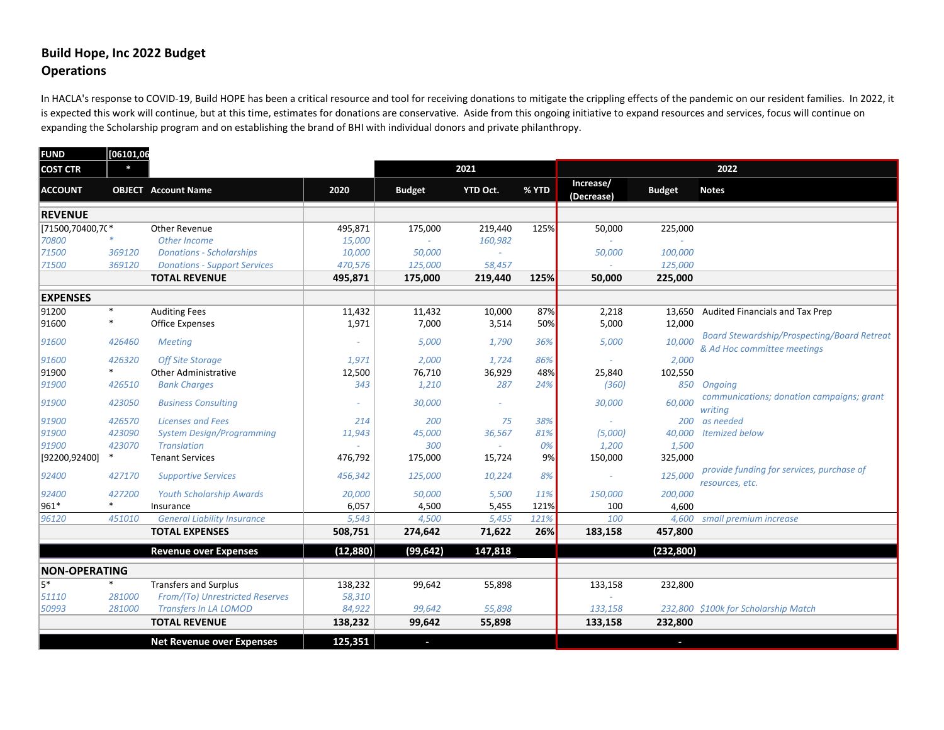# **Build Hope, Inc 2022 Budget Operations**

In HACLA's response to COVID-19, Build HOPE has been a critical resource and tool for receiving donations to mitigate the crippling effects of the pandemic on our resident families. In 2022, it is expected this work will continue, but at this time, estimates for donations are conservative. Aside from this ongoing initiative to expand resources and services, focus will continue on expanding the Scholarship program and on establishing the brand of BHI with individual donors and private philanthropy.

| <b>FUND</b>          | [06101,06 |                                     |           |               |                 |       |                         |               |                                                                                   |  |  |
|----------------------|-----------|-------------------------------------|-----------|---------------|-----------------|-------|-------------------------|---------------|-----------------------------------------------------------------------------------|--|--|
| <b>COST CTR</b>      | $\ast$    |                                     |           |               | 2021            |       | 2022                    |               |                                                                                   |  |  |
| <b>ACCOUNT</b>       |           | <b>OBJECT</b> Account Name          | 2020      | <b>Budget</b> | <b>YTD Oct.</b> | % YTD | Increase/<br>(Decrease) | <b>Budget</b> | <b>Notes</b>                                                                      |  |  |
| <b>REVENUE</b>       |           |                                     |           |               |                 |       |                         |               |                                                                                   |  |  |
| [71500,70400,70*     |           | Other Revenue                       | 495,871   | 175,000       | 219,440         | 125%  | 50,000                  | 225,000       |                                                                                   |  |  |
| 70800                |           | Other Income                        | 15,000    |               | 160,982         |       |                         |               |                                                                                   |  |  |
| 71500                | 369120    | <b>Donations - Scholarships</b>     | 10,000    | 50,000        |                 |       | 50,000                  | 100,000       |                                                                                   |  |  |
| 71500                | 369120    | <b>Donations - Support Services</b> | 470,576   | 125,000       | 58,457          |       |                         | 125,000       |                                                                                   |  |  |
|                      |           | <b>TOTAL REVENUE</b>                | 495,871   | 175,000       | 219,440         | 125%  | 50,000                  | 225,000       |                                                                                   |  |  |
| <b>EXPENSES</b>      |           |                                     |           |               |                 |       |                         |               |                                                                                   |  |  |
| 91200                | $\ast$    | <b>Auditing Fees</b>                | 11,432    | 11,432        | 10,000          | 87%   | 2,218                   | 13,650        | Audited Financials and Tax Prep                                                   |  |  |
| 91600                | $\ast$    | <b>Office Expenses</b>              | 1,971     | 7,000         | 3,514           | 50%   | 5,000                   | 12,000        |                                                                                   |  |  |
| 91600                | 426460    | <b>Meeting</b>                      |           | 5,000         | 1,790           | 36%   | 5,000                   | 10,000        | <b>Board Stewardship/Prospecting/Board Retreat</b><br>& Ad Hoc committee meetings |  |  |
| 91600                | 426320    | <b>Off Site Storage</b>             | 1,971     | 2,000         | 1,724           | 86%   |                         | 2,000         |                                                                                   |  |  |
| 91900                | $\ast$    | <b>Other Administrative</b>         | 12,500    | 76,710        | 36,929          | 48%   | 25,840                  | 102,550       |                                                                                   |  |  |
| 91900                | 426510    | <b>Bank Charges</b>                 | 343       | 1,210         | 287             | 24%   | (360)                   | 850           | Ongoing                                                                           |  |  |
| 91900                | 423050    | <b>Business Consulting</b>          |           | 30,000        |                 |       | 30,000                  | 60,000        | communications; donation campaigns; grant<br>writing                              |  |  |
| 91900                | 426570    | <b>Licenses and Fees</b>            | 214       | 200           | 75              | 38%   |                         | 200           | as needed                                                                         |  |  |
| 91900                | 423090    | <b>System Design/Programming</b>    | 11,943    | 45,000        | 36,567          | 81%   | (5,000)                 | 40,000        | <b>Itemized below</b>                                                             |  |  |
| 91900                | 423070    | <b>Translation</b>                  |           | 300           | $\sim$          | 0%    | 1,200                   | 1,500         |                                                                                   |  |  |
| [92200,92400]        | ∗         | <b>Tenant Services</b>              | 476,792   | 175,000       | 15,724          | 9%    | 150,000                 | 325,000       |                                                                                   |  |  |
| 92400                | 427170    | <b>Supportive Services</b>          | 456,342   | 125,000       | 10,224          | 8%    |                         | 125,000       | provide funding for services, purchase of<br>resources, etc.                      |  |  |
| 92400                | 427200    | <b>Youth Scholarship Awards</b>     | 20,000    | 50,000        | 5,500           | 11%   | 150,000                 | 200,000       |                                                                                   |  |  |
| 961*                 | $\ast$    | Insurance                           | 6,057     | 4,500         | 5,455           | 121%  | 100                     | 4,600         |                                                                                   |  |  |
| 96120                | 451010    | <b>General Liability Insurance</b>  | 5,543     | 4,500         | 5,455           | 121%  | 100                     | 4.600         | small premium increase                                                            |  |  |
|                      |           | <b>TOTAL EXPENSES</b>               | 508,751   | 274,642       | 71,622          | 26%   | 183,158                 | 457,800       |                                                                                   |  |  |
|                      |           | <b>Revenue over Expenses</b>        | (12, 880) | (99, 642)     | 147,818         |       |                         | (232, 800)    |                                                                                   |  |  |
| <b>NON-OPERATING</b> |           |                                     |           |               |                 |       |                         |               |                                                                                   |  |  |
| 5*                   | *         | <b>Transfers and Surplus</b>        | 138,232   | 99,642        | 55,898          |       | 133,158                 | 232,800       |                                                                                   |  |  |
| 51110                | 281000    | From/(To) Unrestricted Reserves     | 58,310    |               |                 |       |                         |               |                                                                                   |  |  |
| 50993                | 281000    | <b>Transfers In LA LOMOD</b>        | 84,922    | 99.642        | 55,898          |       | 133,158                 |               | 232,800 \$100k for Scholarship Match                                              |  |  |
|                      |           | <b>TOTAL REVENUE</b>                | 138,232   | 99,642        | 55,898          |       | 133,158                 | 232,800       |                                                                                   |  |  |
|                      |           | <b>Net Revenue over Expenses</b>    | 125,351   | J,            |                 |       |                         | ı             |                                                                                   |  |  |